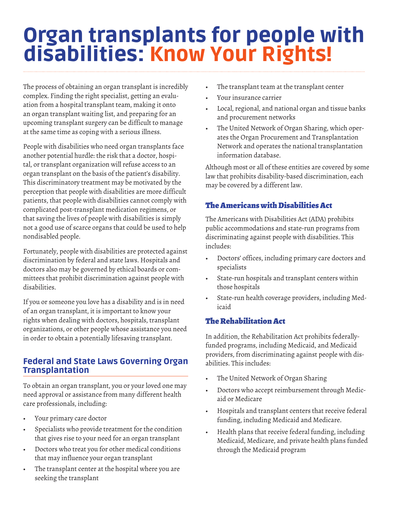# Organ transplants for people with disabilities: Know Your Rights!

The process of obtaining an organ transplant is incredibly complex. Finding the right specialist, getting an evaluation from a hospital transplant team, making it onto an organ transplant waiting list, and preparing for an upcoming transplant surgery can be difficult to manage at the same time as coping with a serious illness.

People with disabilities who need organ transplants face another potential hurdle: the risk that a doctor, hospital, or transplant organization will refuse access to an organ transplant on the basis of the patient's disability. This discriminatory treatment may be motivated by the perception that people with disabilities are more difficult patients, that people with disabilities cannot comply with complicated post-transplant medication regimens, or that saving the lives of people with disabilities is simply not a good use of scarce organs that could be used to help nondisabled people.

Fortunately, people with disabilities are protected against discrimination by federal and state laws. Hospitals and doctors also may be governed by ethical boards or committees that prohibit discrimination against people with disabilities.

If you or someone you love has a disability and is in need of an organ transplant, it is important to know your rights when dealing with doctors, hospitals, transplant organizations, or other people whose assistance you need in order to obtain a potentially lifesaving transplant.

# Federal and State Laws Governing Organ Transplantation

To obtain an organ transplant, you or your loved one may need approval or assistance from many different health care professionals, including:

- Your primary care doctor
- Specialists who provide treatment for the condition that gives rise to your need for an organ transplant
- Doctors who treat you for other medical conditions that may influence your organ transplant
- The transplant center at the hospital where you are seeking the transplant
- The transplant team at the transplant center
- Your insurance carrier
- Local, regional, and national organ and tissue banks and procurement networks
- The United Network of Organ Sharing, which operates the Organ Procurement and Transplantation Network and operates the national transplantation information database.

Although most or all of these entities are covered by some law that prohibits disability-based discrimination, each may be covered by a different law.

# The Americans with Disabilities Act

The Americans with Disabilities Act (ADA) prohibits public accommodations and state-run programs from discriminating against people with disabilities. This includes:

- Doctors' offices, including primary care doctors and specialists
- State-run hospitals and transplant centers within those hospitals
- State-run health coverage providers, including Medicaid

# The Rehabilitation Act

In addition, the Rehabilitation Act prohibits federallyfunded programs, including Medicaid, and Medicaid providers, from discriminating against people with disabilities. This includes:

- The United Network of Organ Sharing
- • Doctors who accept reimbursement through Medicaid or Medicare
- • Hospitals and transplant centers that receive federal funding, including Medicaid and Medicare.
- • Health plans that receive federal funding, including Medicaid, Medicare, and private health plans funded through the Medicaid program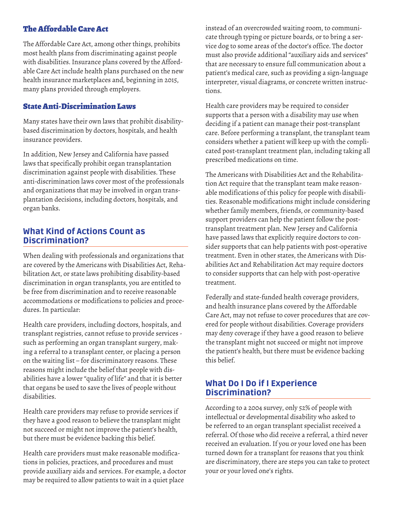#### The Affordable Care Act

The Affordable Care Act, among other things, prohibits most health plans from discriminating against people with disabilities. Insurance plans covered by the Affordable Care Act include health plans purchased on the new health insurance marketplaces and, beginning in 2015, many plans provided through employers.

#### State Anti-Discrimination Laws

Many states have their own laws that prohibit disabilitybased discrimination by doctors, hospitals, and health insurance providers.

In addition, New Jersey and California have passed laws that specifically prohibit organ transplantation discrimination against people with disabilities. These anti-discrimination laws cover most of the professionals and organizations that may be involved in organ transplantation decisions, including doctors, hospitals, and organ banks.

#### What Kind of Actions Count as Discrimination?

When dealing with professionals and organizations that are covered by the Americans with Disabilities Act, Rehabilitation Act, or state laws prohibiting disability-based discrimination in organ transplants, you are entitled to be free from discrimination and to receive reasonable accommodations or modifications to policies and procedures. In particular:

Health care providers, including doctors, hospitals, and transplant registries, cannot refuse to provide services such as performing an organ transplant surgery, making a referral to a transplant center, or placing a person on the waiting list – for discriminatory reasons. These reasons might include the belief that people with disabilities have a lower "quality of life" and that it is better that organs be used to save the lives of people without disabilities.

Health care providers may refuse to provide services if they have a good reason to believe the transplant might not succeed or might not improve the patient's health, but there must be evidence backing this belief.

Health care providers must make reasonable modifications in policies, practices, and procedures and must provide auxiliary aids and services. For example, a doctor may be required to allow patients to wait in a quiet place

instead of an overcrowded waiting room, to communicate through typing or picture boards, or to bring a service dog to some areas of the doctor's office. The doctor must also provide additional "auxiliary aids and services" that are necessary to ensure full communication about a patient's medical care, such as providing a sign-language interpreter, visual diagrams, or concrete written instructions.

Health care providers may be required to consider supports that a person with a disability may use when deciding if a patient can manage their post-transplant care. Before performing a transplant, the transplant team considers whether a patient will keep up with the complicated post-transplant treatment plan, including taking all prescribed medications on time.

The Americans with Disabilities Act and the Rehabilitation Act require that the transplant team make reasonable modifications of this policy for people with disabilities. Reasonable modifications might include considering whether family members, friends, or community-based support providers can help the patient follow the posttransplant treatment plan. New Jersey and California have passed laws that explicitly require doctors to consider supports that can help patients with post-operative treatment. Even in other states, the Americans with Disabilities Act and Rehabilitation Act may require doctors to consider supports that can help with post-operative treatment.

Federally and state-funded health coverage providers, and health insurance plans covered by the Affordable Care Act, may not refuse to cover procedures that are covered for people without disabilities. Coverage providers may deny coverage if they have a good reason to believe the transplant might not succeed or might not improve the patient's health, but there must be evidence backing this belief.

### What Do I Do if I Experience Discrimination?

According to a 2004 survey, only 52% of people with intellectual or developmental disability who asked to be referred to an organ transplant specialist received a referral. Of those who did receive a referral, a third never received an evaluation. If you or your loved one has been turned down for a transplant for reasons that you think are discriminatory, there are steps you can take to protect your or your loved one's rights.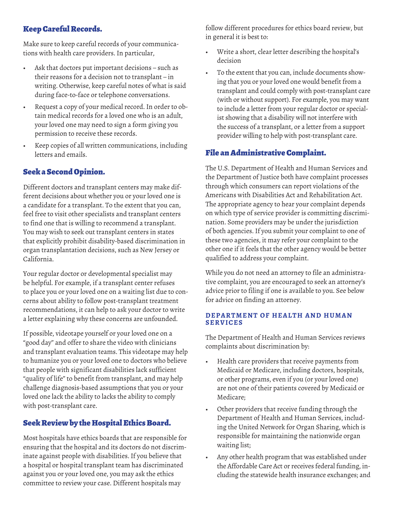# Keep Careful Records.

Make sure to keep careful records of your communications with health care providers. In particular,

- Ask that doctors put important decisions  $-$  such as their reasons for a decision not to transplant – in writing. Otherwise, keep careful notes of what is said during face-to-face or telephone conversations.
- Request a copy of your medical record. In order to obtain medical records for a loved one who is an adult, your loved one may need to sign a form giving you permission to receive these records.
- Keep copies of all written communications, including letters and emails.

### Seek a Second Opinion.

Different doctors and transplant centers may make different decisions about whether you or your loved one is a candidate for a transplant. To the extent that you can, feel free to visit other specialists and transplant centers to find one that is willing to recommend a transplant. You may wish to seek out transplant centers in states that explicitly prohibit disability-based discrimination in organ transplantation decisions, such as New Jersey or California.

Your regular doctor or developmental specialist may be helpful. For example, if a transplant center refuses to place you or your loved one on a waiting list due to concerns about ability to follow post-transplant treatment recommendations, it can help to ask your doctor to write a letter explaining why these concerns are unfounded.

If possible, videotape yourself or your loved one on a "good day" and offer to share the video with clinicians and transplant evaluation teams. This videotape may help to humanize you or your loved one to doctors who believe that people with significant disabilities lack sufficient "quality of life" to benefit from transplant, and may help challenge diagnosis-based assumptions that you or your loved one lack the ability to lacks the ability to comply with post-transplant care.

# Seek Review by the Hospital Ethics Board.

Most hospitals have ethics boards that are responsible for ensuring that the hospital and its doctors do not discriminate against people with disabilities. If you believe that a hospital or hospital transplant team has discriminated against you or your loved one, you may ask the ethics committee to review your case. Different hospitals may

follow different procedures for ethics board review, but in general it is best to:

- Write a short, clear letter describing the hospital's decision
- To the extent that you can, include documents showing that you or your loved one would benefit from a transplant and could comply with post-transplant care (with or without support). For example, you may want to include a letter from your regular doctor or specialist showing that a disability will not interfere with the success of a transplant, or a letter from a support provider willing to help with post-transplant care.

# File an Administrative Complaint.

The U.S. Department of Health and Human Services and the Department of Justice both have complaint processes through which consumers can report violations of the Americans with Disabilities Act and Rehabilitation Act. The appropriate agency to hear your complaint depends on which type of service provider is committing discrimination. Some providers may be under the jurisdiction of both agencies. If you submit your complaint to one of these two agencies, it may refer your complaint to the other one if it feels that the other agency would be better qualified to address your complaint.

While you do not need an attorney to file an administrative complaint, you are encouraged to seek an attorney's advice prior to filing if one is available to you. See below for advice on finding an attorney.

#### **DEPARTMENT OF HEALTH AND HUMAN SERVICES**

The Department of Health and Human Services reviews complaints about discrimination by:

- • Health care providers that receive payments from Medicaid or Medicare, including doctors, hospitals, or other programs, even if you (or your loved one) are not one of their patients covered by Medicaid or Medicare;
- • Other providers that receive funding through the Department of Health and Human Services, including the United Network for Organ Sharing, which is responsible for maintaining the nationwide organ waiting list;
- • Any other health program that was established under the Affordable Care Act or receives federal funding, including the statewide health insurance exchanges; and